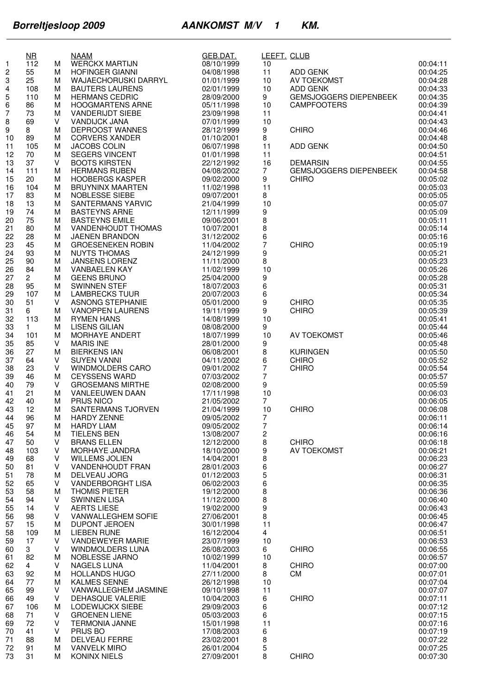|                              | $\overline{\text{MR}}$ |        | <b>NAAM</b>                                           | GEB.DAT.                 | LEEFT. CLUB             |                               |                      |
|------------------------------|------------------------|--------|-------------------------------------------------------|--------------------------|-------------------------|-------------------------------|----------------------|
| 1                            | 112                    | М      | <b>WERCKX MARTIJN</b>                                 | 08/10/1999               | 10<br>11                |                               | 00:04:11<br>00:04:25 |
| $\overline{\mathbf{c}}$<br>3 | 55<br>25               | м<br>м | <b>HOFINGER GIANNI</b><br><b>WAJAECHORUSKI DARRYL</b> | 04/08/1998<br>01/01/1999 | 10                      | ADD GENK<br>AV TOEKOMST       | 00:04:28             |
| 4                            | 108                    | M      | <b>BAUTERS LAURENS</b>                                | 02/01/1999               | 10                      | ADD GENK                      | 00:04:33             |
| 5                            | 110                    | М      | <b>HERMANS CEDRIC</b>                                 | 28/09/2000               | 9                       | <b>GEMSJOGGERS DIEPENBEEK</b> | 00:04:35             |
| 6                            | 86                     | М      | <b>HOOGMARTENS ARNE</b>                               | 05/11/1998               | 10                      | <b>CAMPFOOTERS</b>            | 00:04:39             |
| 7                            | 73                     | M      | <b>VANDERIJDT SIEBE</b>                               | 23/09/1998               | 11                      |                               | 00:04:41             |
| 8                            | 69                     | V      | <b>VANDIJCK JANA</b>                                  | 07/01/1999               | 10                      |                               | 00:04:43             |
| 9                            | 8                      | M      | DEPROOST WANNES                                       | 28/12/1999               | 9                       | <b>CHIRO</b>                  | 00:04:46             |
| 10<br>11                     | 89<br>105              | M<br>М | <b>CORVERS XANDER</b><br><b>JACOBS COLIN</b>          | 01/10/2001<br>06/07/1998 | 8<br>11                 | <b>ADD GENK</b>               | 00:04:48<br>00:04:50 |
| 12                           | 70                     | м      | <b>SEGERS VINCENT</b>                                 | 01/01/1998               | 11                      |                               | 00:04:51             |
| 13                           | 37                     | V      | <b>BOOTS KIRSTEN</b>                                  | 22/12/1992               | 16                      | <b>DEMARSIN</b>               | 00:04:55             |
| 14                           | 111                    | M      | <b>HERMANS RUBEN</b>                                  | 04/08/2002               | $\overline{7}$          | <b>GEMSJOGGERS DIEPENBEEK</b> | 00:04:58             |
| 15                           | 20                     | М      | <b>HOOBERGS KASPER</b>                                | 09/02/2000               | 9                       | <b>CHIRO</b>                  | 00:05:02             |
| 16                           | 104                    | М      | <b>BRUYNINX MAARTEN</b>                               | 11/02/1998               | 11                      |                               | 00:05:03             |
| 17                           | 83                     | M      | NOBLESSE SIEBE                                        | 09/07/2001               | 8                       |                               | 00:05:05             |
| 18<br>19                     | 13<br>74               | М<br>M | <b>SANTERMANS YARVIC</b><br><b>BASTEYNS ARNE</b>      | 21/04/1999<br>12/11/1999 | 10<br>9                 |                               | 00:05:07<br>00:05:09 |
| 20                           | 75                     | M      | <b>BASTEYNS EMILE</b>                                 | 09/06/2001               | 8                       |                               | 00:05:11             |
| 21                           | 80                     | М      | VANDENHOUDT THOMAS                                    | 10/07/2001               | 8                       |                               | 00:05:14             |
| 22                           | 28                     | М      | JAENEN BRANDON                                        | 31/12/2002               | 6                       |                               | 00:05:16             |
| 23                           | 45                     | M      | <b>GROESENEKEN ROBIN</b>                              | 11/04/2002               | 7                       | <b>CHIRO</b>                  | 00:05:19             |
| 24                           | 93                     | М      | <b>NUYTS THOMAS</b>                                   | 24/12/1999               | 9                       |                               | 00:05:21             |
| 25<br>26                     | 90<br>84               | М<br>M | <b>JANSENS LORENZ</b><br><b>VANBAELEN KAY</b>         | 11/11/2000<br>11/02/1999 | 8<br>10                 |                               | 00:05:23<br>00:05:26 |
| 27                           | $\overline{2}$         | М      | <b>GEENS BRUNO</b>                                    | 25/04/2000               | 9                       |                               | 00:05:28             |
| 28                           | 95                     | М      | <b>SWINNEN STEF</b>                                   | 18/07/2003               | 6                       |                               | 00:05:31             |
| 29                           | 107                    | M      | <b>LAMBRECKS TUUR</b>                                 | 20/07/2003               | 6                       |                               | 00:05:34             |
| 30                           | 51                     | v      | ASNONG STEPHANIE                                      | 05/01/2000               | 9                       | <b>CHIRO</b>                  | 00:05:35             |
| 31                           | 6                      | М      | <b>VANOPPEN LAURENS</b>                               | 19/11/1999               | 9                       | <b>CHIRO</b>                  | 00:05:39             |
| 32                           | 113<br>$\mathbf{1}$    | M<br>м | <b>RYMEN HANS</b>                                     | 14/08/1999               | 10                      |                               | 00:05:41             |
| 33<br>34                     | 101                    | М      | <b>LISENS GILIAN</b><br>MORHAYE ANDERT                | 08/08/2000<br>18/07/1999 | 9<br>10                 | AV TOEKOMST                   | 00:05:44<br>00:05:46 |
| 35                           | 85                     | V      | <b>MARIS INE</b>                                      | 28/01/2000               | 9                       |                               | 00:05:48             |
| 36                           | 27                     | M      | <b>BIERKENS IAN</b>                                   | 06/08/2001               | 8                       | <b>KURINGEN</b>               | 00:05:50             |
| 37                           | 64                     | v      | <b>SUYEN VANNI</b>                                    | 04/11/2002               | 6                       | <b>CHIRO</b>                  | 00:05:52             |
| 38                           | 23                     | V      | <b>WINDMOLDERS CARO</b>                               | 09/01/2002               | 7                       | <b>CHIRO</b>                  | 00:05:54             |
| 39                           | 46                     | M<br>V | <b>CEYSSENS WARD</b><br><b>GROSEMANS MIRTHE</b>       | 07/03/2002               | $\overline{7}$<br>9     |                               | 00:05:57             |
| 40<br>41                     | 79<br>21               | M      | <b>VANLEEUWEN DAAN</b>                                | 02/08/2000<br>17/11/1998 | 10                      |                               | 00:05:59<br>00:06:03 |
| 42                           | 40                     | м      | <b>PRIJS NICO</b>                                     | 21/05/2002               | 7                       |                               | 00:06:05             |
| 43                           | 12                     | M      | SANTERMANS TJORVEN                                    | 21/04/1999               | 10                      | CHIRO                         | 00:06:08             |
| 44                           | 96                     | М      | <b>HARDY ZENNE</b>                                    | 09/05/2002               | 7                       |                               | 00:06:11             |
| 45                           | 97                     | M      | <b>HARDY LIAM</b>                                     | 09/05/2002               |                         |                               | 00:06:14             |
| 46                           | 54                     | м      | <b>TIELENS BEN</b>                                    | 13/08/2007               | $\overline{\mathbf{c}}$ |                               | 00:06:16             |
| 47<br>48                     | 50<br>103              | v<br>v | <b>BRANS ELLEN</b><br><b>MORHAYE JANDRA</b>           | 12/12/2000<br>18/10/2000 | 8<br>9                  | <b>CHIRO</b><br>AV TOEKOMST   | 00:06:18<br>00:06:21 |
| 49                           | 68                     | v      | <b>WILLEMS JOLIEN</b>                                 | 14/04/2001               | 8                       |                               | 00:06:23             |
| 50                           | 81                     | v      | VANDENHOUDT FRAN                                      | 28/01/2003               | 6                       |                               | 00:06:27             |
| 51                           | 78                     | М      | <b>DELVEAU JORG</b>                                   | 01/12/2003               | 5                       |                               | 00:06:31             |
| 52                           | 65                     | v      | <b>VANDERBORGHT LISA</b>                              | 06/02/2003               | 6                       |                               | 00:06:35             |
| 53                           | 58                     | M      | <b>THOMIS PIETER</b>                                  | 19/12/2000               | 8                       |                               | 00:06:36             |
| 54                           | 94<br>14               | V<br>V | <b>SWINNEN LISA</b><br><b>AERTS LIESE</b>             | 11/12/2000<br>19/02/2000 | 8<br>9                  |                               | 00:06:40<br>00:06:43 |
| 55<br>56                     | 98                     | V      | VANWALLEGHEM SOFIE                                    | 27/06/2001               | 8                       |                               | 00:06:45             |
| 57                           | 15                     | М      | <b>DUPONT JEROEN</b>                                  | 30/01/1998               | 11                      |                               | 00:06:47             |
| 58                           | 109                    | M      | <b>LIEBEN RUNE</b>                                    | 16/12/2004               | 4                       |                               | 00:06:51             |
| 59                           | 17                     | v      | <b>VANDEWEYER MARIE</b>                               | 23/07/1999               | 10                      |                               | 00:06:53             |
| 60                           | 3                      | v      | <b>WINDMOLDERS LUNA</b>                               | 26/08/2003               | 6                       | <b>CHIRO</b>                  | 00:06:55             |
| 61                           | 82                     | M      | NOBLESSE JARNO<br><b>NAGELS LUNA</b>                  | 10/02/1999               | 10                      |                               | 00:06:57             |
| 62<br>63                     | 4<br>92                | V<br>M | <b>HOLLANDS HUGO</b>                                  | 11/04/2001<br>27/11/2000 | 8<br>8                  | <b>CHIRO</b><br><b>CM</b>     | 00:07:00<br>00:07:01 |
| 64                           | 77                     | М      | <b>KALMES SENNE</b>                                   | 26/12/1998               | 10                      |                               | 00:07:04             |
| 65                           | 99                     | V      | VANWALLEGHEM JASMINE                                  | 09/10/1998               | 11                      |                               | 00:07:07             |
| 66                           | 49                     | v      | DEHASQUE VALERIE                                      | 10/04/2003               | 6                       | <b>CHIRO</b>                  | 00:07:11             |
| 67                           | 106                    | M      | LODEWIJCKX SIEBE                                      | 29/09/2003               | 6                       |                               | 00:07:12             |
| 68                           | 71                     | V      | <b>GROENEN LIENE</b>                                  | 05/03/2003               | 6                       |                               | 00:07:15             |
| 69<br>70                     | 72<br>41               | V<br>v | <b>TERMONIA JANNE</b><br>PRIJS BO                     | 15/01/1998<br>17/08/2003 | 11<br>6                 |                               | 00:07:16<br>00:07:19 |
| 71                           | 88                     | м      | DELVEAU FERRE                                         | 23/02/2001               | 8                       |                               | 00:07:22             |
| 72                           | 91                     | M      | <b>VANVELK MIRO</b>                                   | 26/01/2004               | 5                       |                               | 00:07:25             |
| 73                           | 31                     | м      | KONINX NIELS                                          | 27/09/2001               | 8                       | <b>CHIRO</b>                  | 00:07:30             |